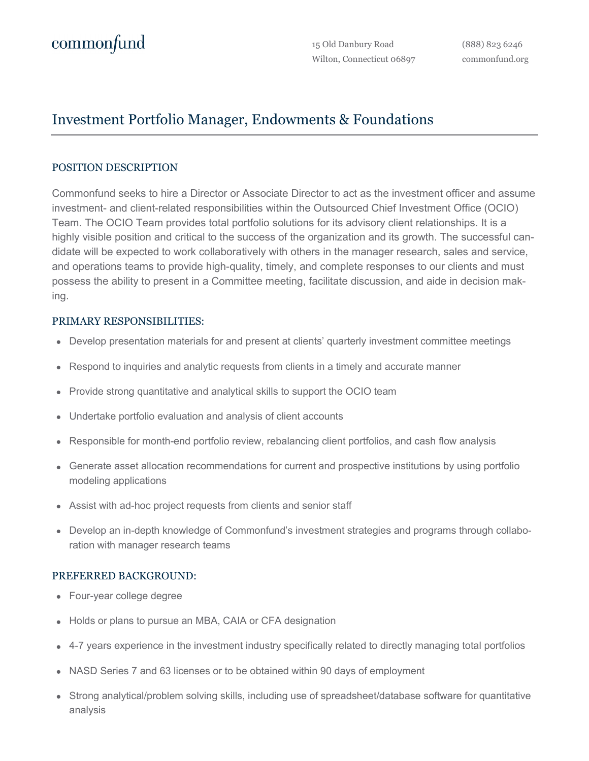## Investment Portfolio Manager, Endowments & Foundations

## POSITION DESCRIPTION

Commonfund seeks to hire a Director or Associate Director to act as the investment officer and assume investment- and client-related responsibilities within the Outsourced Chief Investment Office (OCIO) Team. The OCIO Team provides total portfolio solutions for its advisory client relationships. It is a highly visible position and critical to the success of the organization and its growth. The successful candidate will be expected to work collaboratively with others in the manager research, sales and service, and operations teams to provide high-quality, timely, and complete responses to our clients and must possess the ability to present in a Committee meeting, facilitate discussion, and aide in decision making.

## PRIMARY RESPONSIBILITIES:

- Develop presentation materials for and present at clients' quarterly investment committee meetings
- Respond to inquiries and analytic requests from clients in a timely and accurate manner
- Provide strong quantitative and analytical skills to support the OCIO team
- Undertake portfolio evaluation and analysis of client accounts
- Responsible for month-end portfolio review, rebalancing client portfolios, and cash flow analysis
- Generate asset allocation recommendations for current and prospective institutions by using portfolio modeling applications
- Assist with ad-hoc project requests from clients and senior staff
- Develop an in-depth knowledge of Commonfund's investment strategies and programs through collaboration with manager research teams

## PREFERRED BACKGROUND:

- Four-year college degree
- Holds or plans to pursue an MBA, CAIA or CFA designation
- 4-7 years experience in the investment industry specifically related to directly managing total portfolios
- NASD Series 7 and 63 licenses or to be obtained within 90 days of employment
- Strong analytical/problem solving skills, including use of spreadsheet/database software for quantitative analysis